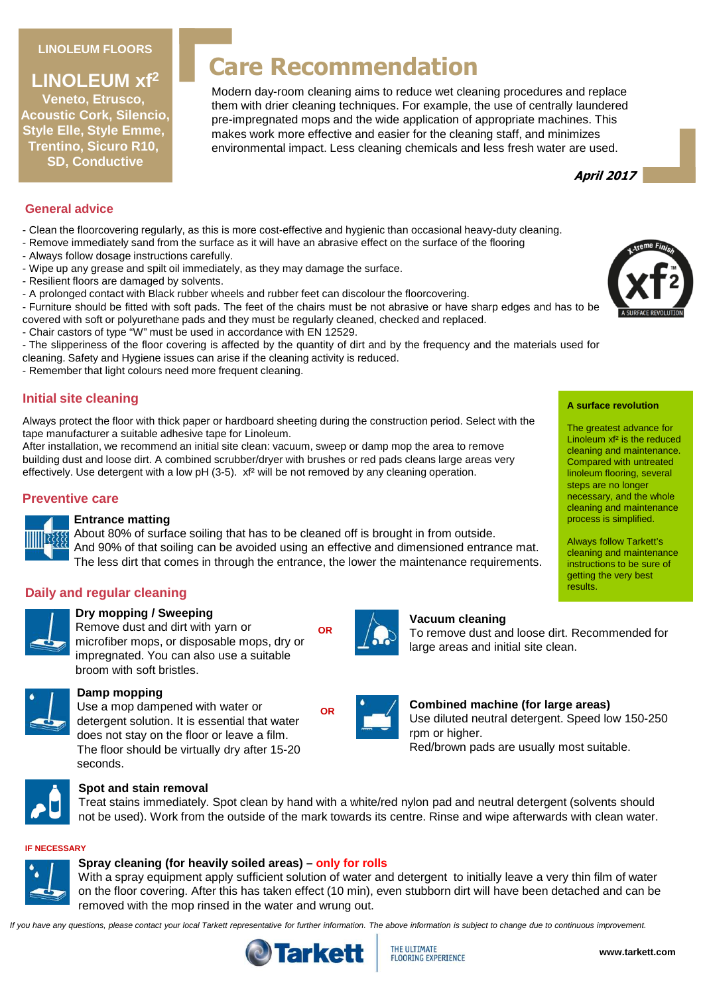#### **LINOLEUM FLOORS**

## **LINOLEUM xf<sup>2</sup>**

**Veneto, Etrusco, Acoustic Cork, Silencio, Style Elle, Style Emme, Trentino, Sicuro R10, SD, Conductive**

# **Care Recommendation**

Modern day-room cleaning aims to reduce wet cleaning procedures and replace them with drier cleaning techniques. For example, the use of centrally laundered pre-impregnated mops and the wide application of appropriate machines. This makes work more effective and easier for the cleaning staff, and minimizes environmental impact. Less cleaning chemicals and less fresh water are used.



#### **General advice**

- Clean the floorcovering regularly, as this is more cost-effective and hygienic than occasional heavy-duty cleaning.
- Remove immediately sand from the surface as it will have an abrasive effect on the surface of the flooring
- Always follow dosage instructions carefully.
- Wipe up any grease and spilt oil immediately, as they may damage the surface.
- Resilient floors are damaged by solvents.
- A prolonged contact with Black rubber wheels and rubber feet can discolour the floorcovering.
- Furniture should be fitted with soft pads. The feet of the chairs must be not abrasive or have sharp edges and has to be covered with soft or polyurethane pads and they must be regularly cleaned, checked and replaced.
- Chair castors of type "W" must be used in accordance with EN 12529.
- The slipperiness of the floor covering is affected by the quantity of dirt and by the frequency and the materials used for
- cleaning. Safety and Hygiene issues can arise if the cleaning activity is reduced.
- Remember that light colours need more frequent cleaning.

## **Initial site cleaning**

Always protect the floor with thick paper or hardboard sheeting during the construction period. Select with the tape manufacturer a suitable adhesive tape for Linoleum.

After installation, we recommend an initial site clean: vacuum, sweep or damp mop the area to remove building dust and loose dirt. A combined scrubber/dryer with brushes or red pads cleans large areas very effectively. Use detergent with a low pH (3-5). xf<sup>2</sup> will be not removed by any cleaning operation.

## **Preventive care**



## **Entrance matting**

About 80% of surface soiling that has to be cleaned off is brought in from outside. And 90% of that soiling can be avoided using an effective and dimensioned entrance mat. The less dirt that comes in through the entrance, the lower the maintenance requirements.

**OR**

## **Daily and regular cleaning**



## **Dry mopping / Sweeping**

Remove dust and dirt with yarn or microfiber mops, or disposable mops, dry or impregnated. You can also use a suitable broom with soft bristles.



## **Damp mopping**

Use a mop dampened with water or detergent solution. It is essential that water does not stay on the floor or leave a film. The floor should be virtually dry after 15-20 seconds.



#### **Spot and stain removal**

Treat stains immediately. Spot clean by hand with a white/red nylon pad and neutral detergent (solvents should not be used). Work from the outside of the mark towards its centre. Rinse and wipe afterwards with clean water.

#### **IF NECESSARY**



#### **Spray cleaning (for heavily soiled areas) – only for rolls**

With a spray equipment apply sufficient solution of water and detergent to initially leave a very thin film of water on the floor covering. After this has taken effect (10 min), even stubborn dirt will have been detached and can be removed with the mop rinsed in the water and wrung out.

If you have any questions, please contact your local Tarkett representative for further information. The above information is subject to change due to continuous improvement.



**Vacuum cleaning**

large areas and initial site clean.



#### **A surface revolution**

The greatest advance for Linoleum xf² is the reduced cleaning and maintenance. Compared with untreated linoleum flooring, several steps are no longer necessary, and the whole cleaning and maintenance process is simplified.

Always follow Tarkett's cleaning and maintenance instructions to be sure of getting the very best results.



**Combined machine (for large areas)** Use diluted neutral detergent. Speed low 150-250 rpm or higher. Red/brown pads are usually most suitable.

To remove dust and loose dirt. Recommended for